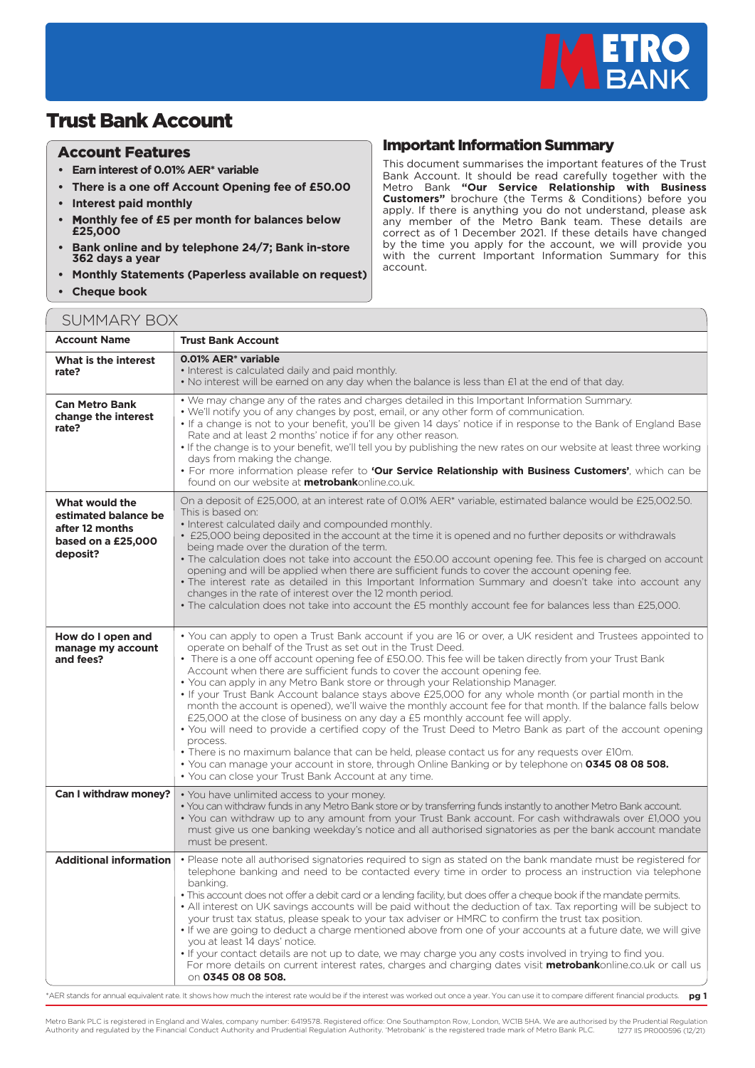

## Trust Bank Account

## Account Features

- **• Earn interest of 0.01% AER\* variable**
- **There is a one off Account Opening fee of £50.00**
- **Interest paid monthly**
- **• Monthly fee of £5 per month for balances below £25,000**
- **Bank online and by telephone 24/7; Bank in-store 362 days a year**
- **Monthly Statements (Paperless available on request)**
- **Cheque book**

This document summarises the important features of the Trust Bank Account. It should be read carefully together with the Metro Bank **"Our Service Relationship with Business Customers"** brochure (the Terms & Conditions) before you apply. If there is anything you do not understand, please ask any member of the Metro Bank team. These details are correct as of 1 December 2021. If these details have changed by the time you apply for the account, we will provide you with the current Important Information Summary for this account.

Important Information Summary

| <b>SUMMARY BOX</b>                                                                          |                                                                                                                                                                                                                                                                                                                                                                                                                                                                                                                                                                                                                                                                                                                                                                                                                                                                                                                                                                                                                                                                                                                                                            |  |  |
|---------------------------------------------------------------------------------------------|------------------------------------------------------------------------------------------------------------------------------------------------------------------------------------------------------------------------------------------------------------------------------------------------------------------------------------------------------------------------------------------------------------------------------------------------------------------------------------------------------------------------------------------------------------------------------------------------------------------------------------------------------------------------------------------------------------------------------------------------------------------------------------------------------------------------------------------------------------------------------------------------------------------------------------------------------------------------------------------------------------------------------------------------------------------------------------------------------------------------------------------------------------|--|--|
| <b>Account Name</b>                                                                         | <b>Trust Bank Account</b>                                                                                                                                                                                                                                                                                                                                                                                                                                                                                                                                                                                                                                                                                                                                                                                                                                                                                                                                                                                                                                                                                                                                  |  |  |
| What is the interest<br>rate?                                                               | 0.01% AER <sup>*</sup> variable<br>• Interest is calculated daily and paid monthly.<br>. No interest will be earned on any day when the balance is less than £1 at the end of that day.                                                                                                                                                                                                                                                                                                                                                                                                                                                                                                                                                                                                                                                                                                                                                                                                                                                                                                                                                                    |  |  |
| <b>Can Metro Bank</b><br>change the interest<br>rate?                                       | . We may change any of the rates and charges detailed in this Important Information Summary.<br>• We'll notify you of any changes by post, email, or any other form of communication.<br>• If a change is not to your benefit, you'll be given 14 days' notice if in response to the Bank of England Base<br>Rate and at least 2 months' notice if for any other reason.<br>. If the change is to your benefit, we'll tell you by publishing the new rates on our website at least three working<br>days from making the change.<br>· For more information please refer to 'Our Service Relationship with Business Customers', which can be<br>found on our website at <b>metrobank</b> online.co.uk.                                                                                                                                                                                                                                                                                                                                                                                                                                                      |  |  |
| What would the<br>estimated balance be<br>after 12 months<br>based on a £25,000<br>deposit? | On a deposit of £25,000, at an interest rate of 0.01% AER* variable, estimated balance would be £25,002.50.<br>This is based on:<br>• Interest calculated daily and compounded monthly.<br>• £25,000 being deposited in the account at the time it is opened and no further deposits or withdrawals<br>being made over the duration of the term.<br>• The calculation does not take into account the £50.00 account opening fee. This fee is charged on account<br>opening and will be applied when there are sufficient funds to cover the account opening fee.<br>. The interest rate as detailed in this Important Information Summary and doesn't take into account any<br>changes in the rate of interest over the 12 month period.<br>• The calculation does not take into account the £5 monthly account fee for balances less than £25,000.                                                                                                                                                                                                                                                                                                        |  |  |
| How do I open and<br>manage my account<br>and fees?                                         | • You can apply to open a Trust Bank account if you are 16 or over, a UK resident and Trustees appointed to<br>operate on behalf of the Trust as set out in the Trust Deed.<br>• There is a one off account opening fee of £50.00. This fee will be taken directly from your Trust Bank<br>Account when there are sufficient funds to cover the account opening fee.<br>• You can apply in any Metro Bank store or through your Relationship Manager.<br>. If your Trust Bank Account balance stays above £25,000 for any whole month (or partial month in the<br>month the account is opened), we'll waive the monthly account fee for that month. If the balance falls below<br>£25,000 at the close of business on any day a £5 monthly account fee will apply.<br>• You will need to provide a certified copy of the Trust Deed to Metro Bank as part of the account opening<br>process.<br>. There is no maximum balance that can be held, please contact us for any requests over £10m.<br>. You can manage your account in store, through Online Banking or by telephone on 0345 08 08 508.<br>• You can close your Trust Bank Account at any time. |  |  |
| Can I withdraw money?                                                                       | • You have unlimited access to your money.<br>. You can withdraw funds in any Metro Bank store or by transferring funds instantly to another Metro Bank account.<br>• You can withdraw up to any amount from your Trust Bank account. For cash withdrawals over £1,000 you<br>must give us one banking weekday's notice and all authorised signatories as per the bank account mandate<br>must be present.                                                                                                                                                                                                                                                                                                                                                                                                                                                                                                                                                                                                                                                                                                                                                 |  |  |
| <b>Additional information</b>                                                               | • Please note all authorised signatories required to sign as stated on the bank mandate must be registered for<br>telephone banking and need to be contacted every time in order to process an instruction via telephone<br>banking.<br>. This account does not offer a debit card or a lending facility, but does offer a cheque book if the mandate permits.<br>. All interest on UK savings accounts will be paid without the deduction of tax. Tax reporting will be subject to<br>your trust tax status, please speak to your tax adviser or HMRC to confirm the trust tax position.<br>• If we are going to deduct a charge mentioned above from one of your accounts at a future date, we will give<br>you at least 14 days' notice.<br>. If your contact details are not up to date, we may charge you any costs involved in trying to find you.<br>For more details on current interest rates, charges and charging dates visit metrobankonline.co.uk or call us<br>on 0345 08 08 508.                                                                                                                                                            |  |  |

.<br>AER stands for annual equivalent rate. It shows how much the interest rate would be if the interest was worked out once a year. You can use it to compare different financial products. **pg 1**

Metro Bank PLC is registered in England and Wales, company number: 6419578. Registered office: One Southampton Row, London, WCIB 5HA. We are authorised by the Prudential Regulation<br>Authority and regulated by the Financial Authority and regulated by the Financial Conduct Authority and Prudential Regulation Authority. 'Metrobank' is the registered trade mark of Metro Bank PLC.